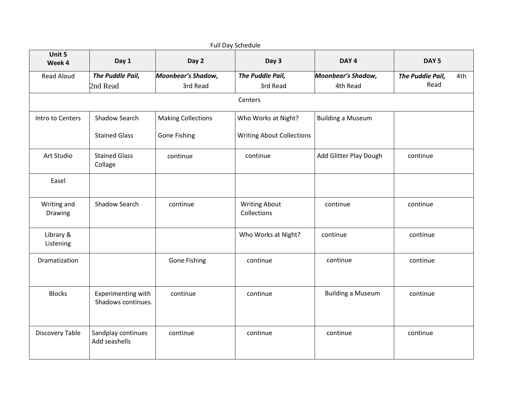| Full Day Schedule      |                                          |                           |                                     |                          |                         |  |
|------------------------|------------------------------------------|---------------------------|-------------------------------------|--------------------------|-------------------------|--|
| Unit 5<br>Week 4       | Day 1                                    | Day 2                     | Day 3                               | DAY <sub>4</sub>         | DAY <sub>5</sub>        |  |
| Read Aloud             | The Puddle Pail,                         | Moonbear's Shadow,        | The Puddle Pail,                    | Moonbear's Shadow,       | The Puddle Pail,<br>4th |  |
|                        | 2nd Read                                 | 3rd Read                  | 3rd Read                            | 4th Read                 | Read                    |  |
|                        |                                          |                           | Centers                             |                          |                         |  |
| Intro to Centers       | Shadow Search                            | <b>Making Collections</b> | Who Works at Night?                 | <b>Building a Museum</b> |                         |  |
|                        | <b>Stained Glass</b>                     | <b>Gone Fishing</b>       | <b>Writing About Collections</b>    |                          |                         |  |
| Art Studio             | <b>Stained Glass</b><br>Collage          | continue                  | continue                            | Add Glitter Play Dough   | continue                |  |
| Easel                  |                                          |                           |                                     |                          |                         |  |
| Writing and<br>Drawing | <b>Shadow Search</b>                     | continue                  | <b>Writing About</b><br>Collections | continue                 | continue                |  |
| Library &<br>Listening |                                          |                           | Who Works at Night?                 | continue                 | continue                |  |
| Dramatization          |                                          | <b>Gone Fishing</b>       | continue                            | continue                 | continue                |  |
| <b>Blocks</b>          | Experimenting with<br>Shadows continues. | continue                  | continue                            | <b>Building a Museum</b> | continue                |  |
| <b>Discovery Table</b> | Sandplay continues<br>Add seashells      | continue                  | continue                            | continue                 | continue                |  |